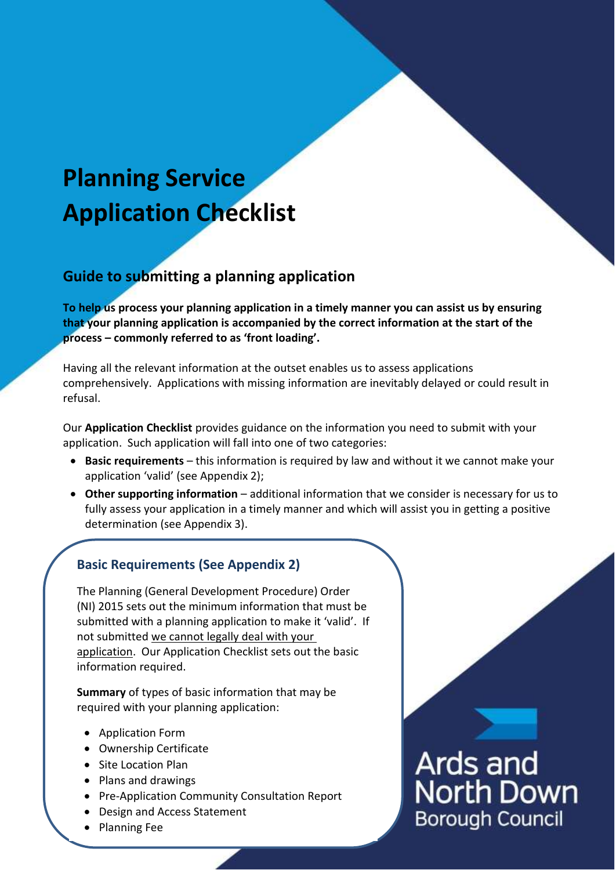# **Planning Service Application Checklist**

## **Guide to submitting a planning application**

**To help us process your planning application in a timely manner you can assist us by ensuring that your planning application is accompanied by the correct information at the start of the process – commonly referred to as 'front loading'.**

Having all the relevant information at the outset enables us to assess applications comprehensively. Applications with missing information are inevitably delayed or could result in refusal.

Our **Application Checklist** provides guidance on the information you need to submit with your application. Such application will fall into one of two categories:

- **Basic requirements** this information is required by law and without it we cannot make your application 'valid' (see Appendix 2);
- **Other supporting information** additional information that we consider is necessary for us to fully assess your application in a timely manner and which will assist you in getting a positive determination (see Appendix 3).

### **Basic Requirements (See Appendix 2)**

The Planning (General Development Procedure) Order (NI) 2015 sets out the minimum information that must be submitted with a planning application to make it 'valid'. If not submitted we cannot legally deal with your application. Our Application Checklist sets out the basic information required.

**Summary** of types of basic information that may be required with your planning application:

- Application Form
- Ownership Certificate
- Site Location Plan
- Plans and drawings
- Pre-Application Community Consultation Report
- Design and Access Statement
- Planning Fee



Ards and<br>North Down **Borough Council**